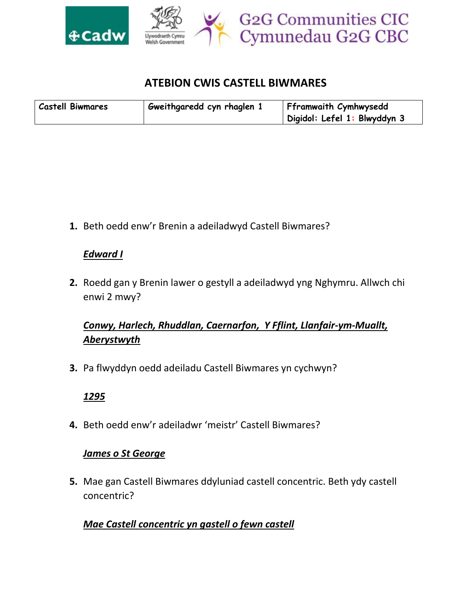

## **ATEBION CWIS CASTELL BIWMARES**

| <b>Castell Biwmares</b> | Gweithgaredd cyn rhaglen 1 | Fframwaith Cymhwysedd        |
|-------------------------|----------------------------|------------------------------|
|                         |                            | Digidol: Lefel 1: Blwyddyn 3 |

**1.** Beth oedd enw'r Brenin a adeiladwyd Castell Biwmares?

### *Edward I*

**2.** Roedd gan y Brenin lawer o gestyll a adeiladwyd yng Nghymru. Allwch chi enwi 2 mwy?

# *Conwy, Harlech, Rhuddlan, Caernarfon, Y Fflint, Llanfair-ym-Muallt, Aberystwyth*

**3.** Pa flwyddyn oedd adeiladu Castell Biwmares yn cychwyn?

### *1295*

**4.** Beth oedd enw'r adeiladwr 'meistr' Castell Biwmares?

### *James o St George*

**5.** Mae gan Castell Biwmares ddyluniad castell concentric. Beth ydy castell concentric?

### *Mae Castell concentric yn gastell o fewn castell*